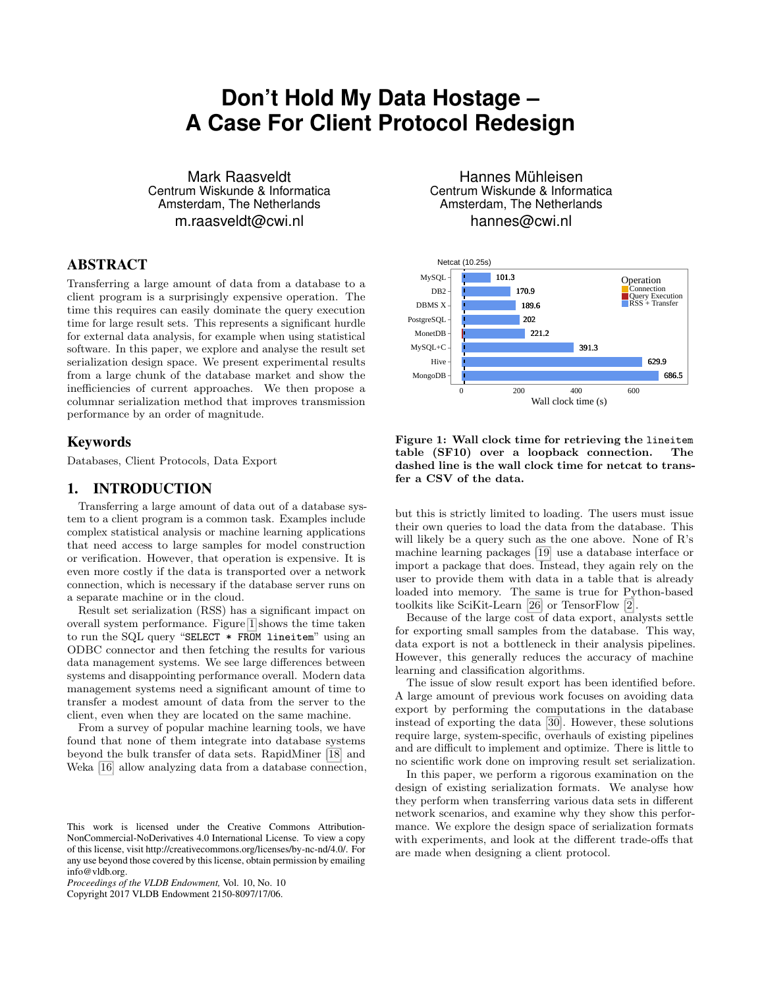# **Don't Hold My Data Hostage – A Case For Client Protocol Redesign**

Mark Raasveldt Centrum Wiskunde & Informatica Amsterdam, The Netherlands m.raasveldt@cwi.nl

# ABSTRACT

Transferring a large amount of data from a database to a client program is a surprisingly expensive operation. The time this requires can easily dominate the query execution time for large result sets. This represents a significant hurdle for external data analysis, for example when using statistical software. In this paper, we explore and analyse the result set serialization design space. We present experimental results from a large chunk of the database market and show the inefficiencies of current approaches. We then propose a columnar serialization method that improves transmission performance by an order of magnitude.

# Keywords

Databases, Client Protocols, Data Export

## 1. INTRODUCTION

Transferring a large amount of data out of a database system to a client program is a common task. Examples include complex statistical analysis or machine learning applications that need access to large samples for model construction or verification. However, that operation is expensive. It is even more costly if the data is transported over a network connection, which is necessary if the database server runs on a separate machine or in the cloud.

Result set serialization (RSS) has a significant impact on overall system performance. Figure [1](#page-0-0) shows the time taken to run the SQL query "SELECT \* FROM lineitem" using an ODBC connector and then fetching the results for various data management systems. We see large differences between systems and disappointing performance overall. Modern data management systems need a significant amount of time to transfer a modest amount of data from the server to the client, even when they are located on the same machine.

From a survey of popular machine learning tools, we have found that none of them integrate into database systems beyond the bulk transfer of data sets. RapidMiner [\[18\]](#page-11-0) and Weka [\[16\]](#page-11-1) allow analyzing data from a database connection,

Copyright 2017 VLDB Endowment 2150-8097/17/06.

Hannes Mühleisen Centrum Wiskunde & Informatica Amsterdam, The Netherlands hannes@cwi.nl



<span id="page-0-0"></span>Figure 1: Wall clock time for retrieving the lineitem table (SF10) over a loopback connection. The dashed line is the wall clock time for netcat to transfer a CSV of the data.

but this is strictly limited to loading. The users must issue their own queries to load the data from the database. This will likely be a query such as the one above. None of R's machine learning packages [\[19\]](#page-11-2) use a database interface or import a package that does. Instead, they again rely on the user to provide them with data in a table that is already loaded into memory. The same is true for Python-based toolkits like SciKit-Learn [\[26\]](#page-11-3) or TensorFlow [\[2\]](#page-11-4).

Because of the large cost of data export, analysts settle for exporting small samples from the database. This way, data export is not a bottleneck in their analysis pipelines. However, this generally reduces the accuracy of machine learning and classification algorithms.

The issue of slow result export has been identified before. A large amount of previous work focuses on avoiding data export by performing the computations in the database instead of exporting the data [\[30\]](#page-11-5). However, these solutions require large, system-specific, overhauls of existing pipelines and are difficult to implement and optimize. There is little to no scientific work done on improving result set serialization.

In this paper, we perform a rigorous examination on the design of existing serialization formats. We analyse how they perform when transferring various data sets in different network scenarios, and examine why they show this performance. We explore the design space of serialization formats with experiments, and look at the different trade-offs that are made when designing a client protocol.

This work is licensed under the Creative Commons Attribution-NonCommercial-NoDerivatives 4.0 International License. To view a copy of this license, visit http://creativecommons.org/licenses/by-nc-nd/4.0/. For any use beyond those covered by this license, obtain permission by emailing info@vldb.org.

*Proceedings of the VLDB Endowment,* Vol. 10, No. 10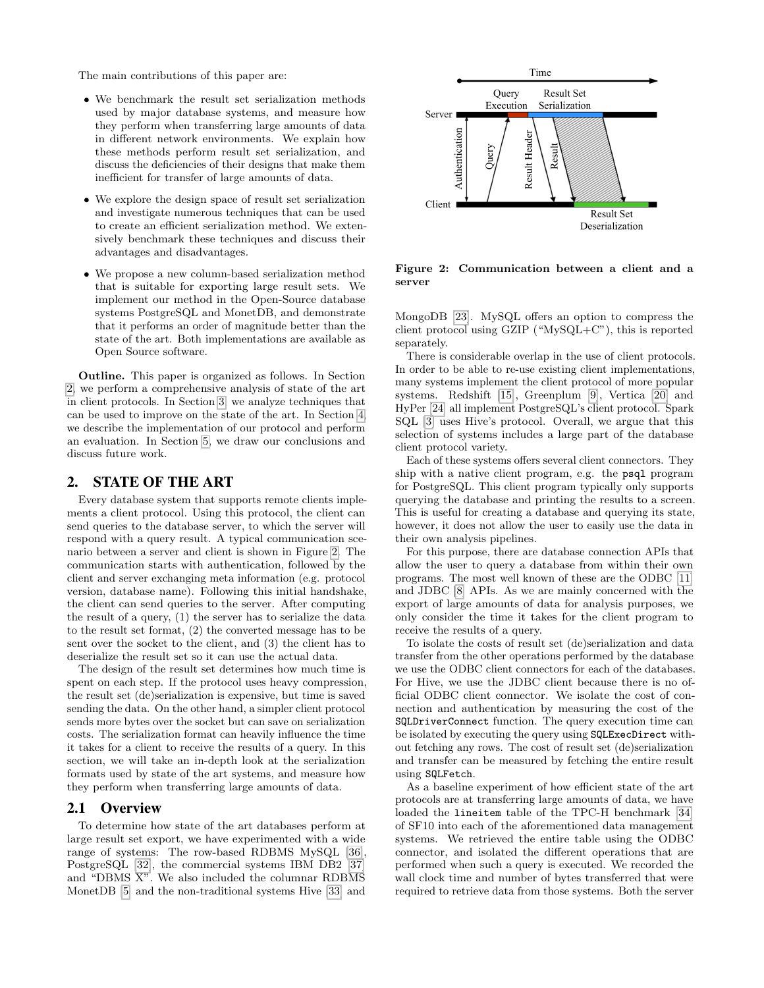The main contributions of this paper are:

- We benchmark the result set serialization methods used by major database systems, and measure how they perform when transferring large amounts of data in different network environments. We explain how these methods perform result set serialization, and discuss the deficiencies of their designs that make them inefficient for transfer of large amounts of data.
- We explore the design space of result set serialization and investigate numerous techniques that can be used to create an efficient serialization method. We extensively benchmark these techniques and discuss their advantages and disadvantages.
- We propose a new column-based serialization method that is suitable for exporting large result sets. We implement our method in the Open-Source database systems PostgreSQL and MonetDB, and demonstrate that it performs an order of magnitude better than the state of the art. Both implementations are available as Open Source software.

Outline. This paper is organized as follows. In Section [2,](#page-1-0) we perform a comprehensive analysis of state of the art in client protocols. In Section [3,](#page-4-0) we analyze techniques that can be used to improve on the state of the art. In Section [4,](#page-8-0) we describe the implementation of our protocol and perform an evaluation. In Section [5,](#page-10-0) we draw our conclusions and discuss future work.

# <span id="page-1-0"></span>2. STATE OF THE ART

Every database system that supports remote clients implements a client protocol. Using this protocol, the client can send queries to the database server, to which the server will respond with a query result. A typical communication scenario between a server and client is shown in Figure [2.](#page-1-1) The communication starts with authentication, followed by the client and server exchanging meta information (e.g. protocol version, database name). Following this initial handshake, the client can send queries to the server. After computing the result of a query, (1) the server has to serialize the data to the result set format, (2) the converted message has to be sent over the socket to the client, and (3) the client has to deserialize the result set so it can use the actual data.

The design of the result set determines how much time is spent on each step. If the protocol uses heavy compression, the result set (de)serialization is expensive, but time is saved sending the data. On the other hand, a simpler client protocol sends more bytes over the socket but can save on serialization costs. The serialization format can heavily influence the time it takes for a client to receive the results of a query. In this section, we will take an in-depth look at the serialization formats used by state of the art systems, and measure how they perform when transferring large amounts of data.

## <span id="page-1-2"></span>2.1 Overview

To determine how state of the art databases perform at large result set export, we have experimented with a wide range of systems: The row-based RDBMS MySQL [\[36\]](#page-11-6), PostgreSQL [\[32\]](#page-11-7), the commercial systems IBM DB2 [\[37\]](#page-11-8) and "DBMS X". We also included the columnar RDBMS MonetDB [\[5\]](#page-11-9) and the non-traditional systems Hive [\[33\]](#page-11-10) and



<span id="page-1-1"></span>Figure 2: Communication between a client and a server

MongoDB [\[23\]](#page-11-11). MySQL offers an option to compress the client protocol using GZIP ("MySQL+C"), this is reported separately.

There is considerable overlap in the use of client protocols. In order to be able to re-use existing client implementations, many systems implement the client protocol of more popular systems. Redshift [\[15\]](#page-11-12), Greenplum [\[9\]](#page-11-13), Vertica [\[20\]](#page-11-14) and HyPer [\[24\]](#page-11-15) all implement PostgreSQL's client protocol. Spark SQL [\[3\]](#page-11-16) uses Hive's protocol. Overall, we argue that this selection of systems includes a large part of the database client protocol variety.

Each of these systems offers several client connectors. They ship with a native client program, e.g. the psql program for PostgreSQL. This client program typically only supports querying the database and printing the results to a screen. This is useful for creating a database and querying its state, however, it does not allow the user to easily use the data in their own analysis pipelines.

For this purpose, there are database connection APIs that allow the user to query a database from within their own programs. The most well known of these are the ODBC [\[11\]](#page-11-17) and JDBC [\[8\]](#page-11-18) APIs. As we are mainly concerned with the export of large amounts of data for analysis purposes, we only consider the time it takes for the client program to receive the results of a query.

To isolate the costs of result set (de)serialization and data transfer from the other operations performed by the database we use the ODBC client connectors for each of the databases. For Hive, we use the JDBC client because there is no official ODBC client connector. We isolate the cost of connection and authentication by measuring the cost of the SQLDriverConnect function. The query execution time can be isolated by executing the query using SQLExecDirect without fetching any rows. The cost of result set (de)serialization and transfer can be measured by fetching the entire result using SQLFetch.

As a baseline experiment of how efficient state of the art protocols are at transferring large amounts of data, we have loaded the lineitem table of the TPC-H benchmark [\[34\]](#page-11-19) of SF10 into each of the aforementioned data management systems. We retrieved the entire table using the ODBC connector, and isolated the different operations that are performed when such a query is executed. We recorded the wall clock time and number of bytes transferred that were required to retrieve data from those systems. Both the server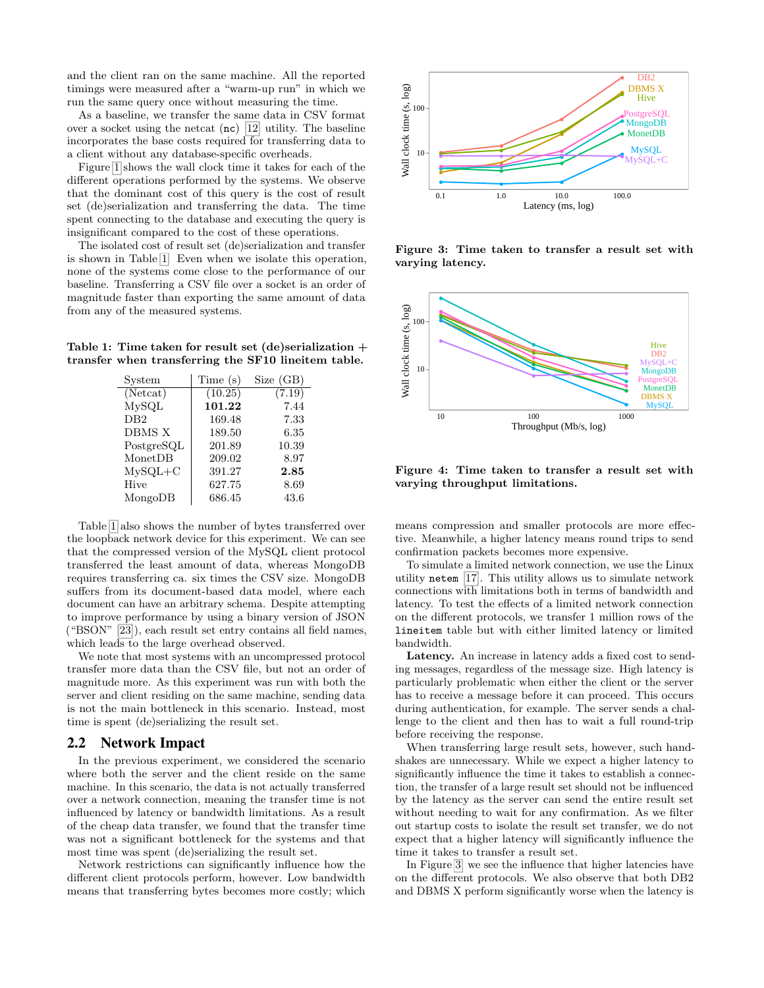and the client ran on the same machine. All the reported timings were measured after a "warm-up run" in which we run the same query once without measuring the time.

As a baseline, we transfer the same data in CSV format over a socket using the netcat (nc) [\[12\]](#page-11-20) utility. The baseline incorporates the base costs required for transferring data to a client without any database-specific overheads.

Figure [1](#page-0-0) shows the wall clock time it takes for each of the different operations performed by the systems. We observe that the dominant cost of this query is the cost of result set (de)serialization and transferring the data. The time spent connecting to the database and executing the query is insignificant compared to the cost of these operations.

The isolated cost of result set (de)serialization and transfer is shown in Table [1.](#page-2-0) Even when we isolate this operation, none of the systems come close to the performance of our baseline. Transferring a CSV file over a socket is an order of magnitude faster than exporting the same amount of data from any of the measured systems.

Table 1: Time taken for result set  $(de)$ serialization  $+$ transfer when transferring the SF10 lineitem table.

<span id="page-2-0"></span>

| System     | Time(s) | Size(GB) |
|------------|---------|----------|
| (Netcat)   | (10.25) | (7.19)   |
| MySQL      | 101.22  | 7.44     |
| DB2        | 169.48  | 7.33     |
| DBMS X     | 189.50  | 6.35     |
| PostgreSQL | 201.89  | 10.39    |
| MonetDB    | 209.02  | 8.97     |
| $MvSQL+C$  | 391.27  | 2.85     |
| Hive       | 627.75  | 8.69     |
| MongoDB    | 686.45  | 43.6     |

Table [1](#page-2-0) also shows the number of bytes transferred over the loopback network device for this experiment. We can see that the compressed version of the MySQL client protocol transferred the least amount of data, whereas MongoDB requires transferring ca. six times the CSV size. MongoDB suffers from its document-based data model, where each document can have an arbitrary schema. Despite attempting to improve performance by using a binary version of JSON ("BSON" [\[23\]](#page-11-11)), each result set entry contains all field names, which leads to the large overhead observed.

We note that most systems with an uncompressed protocol transfer more data than the CSV file, but not an order of magnitude more. As this experiment was run with both the server and client residing on the same machine, sending data is not the main bottleneck in this scenario. Instead, most time is spent (de)serializing the result set.

#### 2.2 Network Impact

In the previous experiment, we considered the scenario where both the server and the client reside on the same machine. In this scenario, the data is not actually transferred over a network connection, meaning the transfer time is not influenced by latency or bandwidth limitations. As a result of the cheap data transfer, we found that the transfer time was not a significant bottleneck for the systems and that most time was spent (de)serializing the result set.

Network restrictions can significantly influence how the different client protocols perform, however. Low bandwidth means that transferring bytes becomes more costly; which



<span id="page-2-1"></span>Figure 3: Time taken to transfer a result set with varying latency.



<span id="page-2-2"></span>Figure 4: Time taken to transfer a result set with varying throughput limitations.

means compression and smaller protocols are more effective. Meanwhile, a higher latency means round trips to send confirmation packets becomes more expensive.

To simulate a limited network connection, we use the Linux utility netem [\[17\]](#page-11-21). This utility allows us to simulate network connections with limitations both in terms of bandwidth and latency. To test the effects of a limited network connection on the different protocols, we transfer 1 million rows of the lineitem table but with either limited latency or limited bandwidth.

Latency. An increase in latency adds a fixed cost to sending messages, regardless of the message size. High latency is particularly problematic when either the client or the server has to receive a message before it can proceed. This occurs during authentication, for example. The server sends a challenge to the client and then has to wait a full round-trip before receiving the response.

When transferring large result sets, however, such handshakes are unnecessary. While we expect a higher latency to significantly influence the time it takes to establish a connection, the transfer of a large result set should not be influenced by the latency as the server can send the entire result set without needing to wait for any confirmation. As we filter out startup costs to isolate the result set transfer, we do not expect that a higher latency will significantly influence the time it takes to transfer a result set.

In Figure [3,](#page-2-1) we see the influence that higher latencies have on the different protocols. We also observe that both DB2 and DBMS X perform significantly worse when the latency is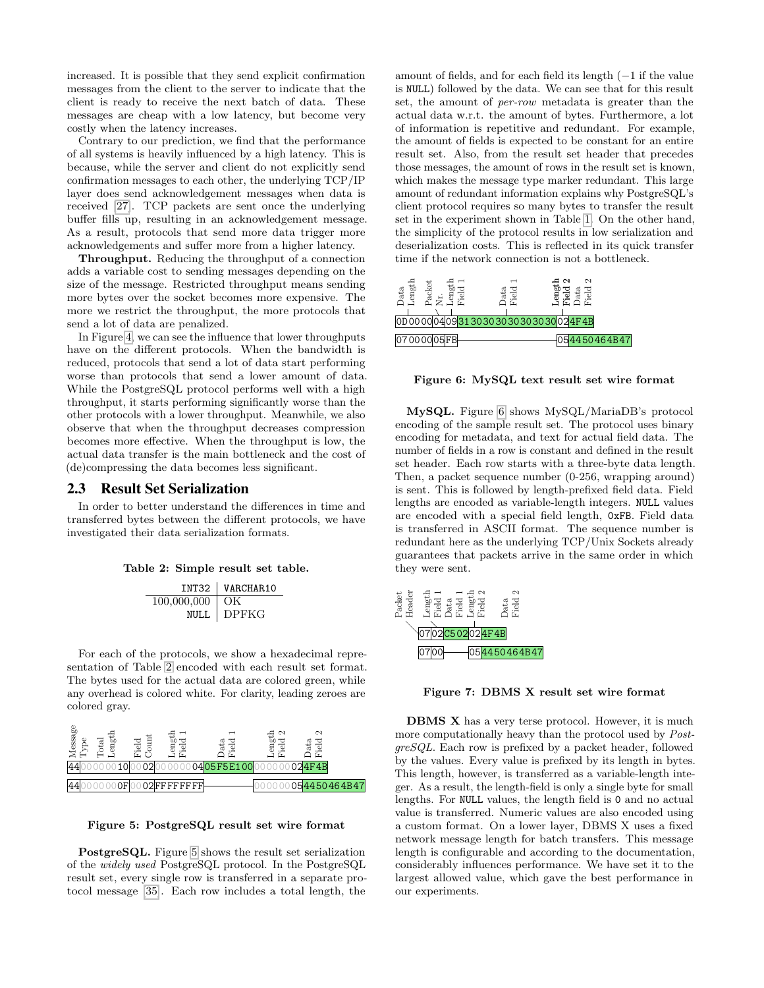increased. It is possible that they send explicit confirmation messages from the client to the server to indicate that the client is ready to receive the next batch of data. These messages are cheap with a low latency, but become very costly when the latency increases.

Contrary to our prediction, we find that the performance of all systems is heavily influenced by a high latency. This is because, while the server and client do not explicitly send confirmation messages to each other, the underlying TCP/IP layer does send acknowledgement messages when data is received [\[27\]](#page-11-22). TCP packets are sent once the underlying buffer fills up, resulting in an acknowledgement message. As a result, protocols that send more data trigger more acknowledgements and suffer more from a higher latency.

Throughput. Reducing the throughput of a connection adds a variable cost to sending messages depending on the size of the message. Restricted throughput means sending more bytes over the socket becomes more expensive. The more we restrict the throughput, the more protocols that send a lot of data are penalized.

In Figure [4,](#page-2-2) we can see the influence that lower throughputs have on the different protocols. When the bandwidth is reduced, protocols that send a lot of data start performing worse than protocols that send a lower amount of data. While the PostgreSQL protocol performs well with a high throughput, it starts performing significantly worse than the other protocols with a lower throughput. Meanwhile, we also observe that when the throughput decreases compression becomes more effective. When the throughput is low, the actual data transfer is the main bottleneck and the cost of (de)compressing the data becomes less significant.

#### 2.3 Result Set Serialization

In order to better understand the differences in time and transferred bytes between the different protocols, we have investigated their data serialization formats.

#### Table 2: Simple result set table.

<span id="page-3-0"></span>

| INT32       | VARCHAR10    |
|-------------|--------------|
| 100,000,000 | OК           |
|             | NULL   DPFKG |

For each of the protocols, we show a hexadecimal representation of Table [2](#page-3-0) encoded with each result set format. The bytes used for the actual data are colored green, while any overhead is colored white. For clarity, leading zeroes are colored gray.

| essage<br>c | ы<br>ಡ<br>ā | ield<br>−<br>ή. | -<br>–   | œ<br>.≌<br>٠ | $\mathbf{\Omega}$<br>සි<br>$\cdot$ $-$ | $\mathbf{\Omega}$<br>.≌<br>ದ<br>× |  |
|-------------|-------------|-----------------|----------|--------------|----------------------------------------|-----------------------------------|--|
|             |             |                 |          | 05F5E100     |                                        | 4F4B                              |  |
|             |             |                 | 고모드<br>н |              |                                        | 50464B47                          |  |

#### <span id="page-3-1"></span>Figure 5: PostgreSQL result set wire format

PostgreSQL. Figure [5](#page-3-1) shows the result set serialization of the widely used PostgreSQL protocol. In the PostgreSQL result set, every single row is transferred in a separate protocol message [\[35\]](#page-11-23). Each row includes a total length, the

amount of fields, and for each field its length (−1 if the value is NULL) followed by the data. We can see that for this result set, the amount of per-row metadata is greater than the actual data w.r.t. the amount of bytes. Furthermore, a lot of information is repetitive and redundant. For example, the amount of fields is expected to be constant for an entire result set. Also, from the result set header that precedes those messages, the amount of rows in the result set is known, which makes the message type marker redundant. This large amount of redundant information explains why PostgreSQL's client protocol requires so many bytes to transfer the result set in the experiment shown in Table [1.](#page-2-0) On the other hand, the simplicity of the protocol results in low serialization and deserialization costs. This is reflected in its quick transfer time if the network connection is not a bottleneck.

| ata<br>ы | œ        | œ<br>ದ |                                         | $\sim$     |
|----------|----------|--------|-----------------------------------------|------------|
|          |          |        | 093130303030303030 <mark>02</mark> 4F4B |            |
|          | 000005FB |        |                                         | 4450464B47 |

<span id="page-3-2"></span>Figure 6: MySQL text result set wire format

MySQL. Figure [6](#page-3-2) shows MySQL/MariaDB's protocol encoding of the sample result set. The protocol uses binary encoding for metadata, and text for actual field data. The number of fields in a row is constant and defined in the result set header. Each row starts with a three-byte data length. Then, a packet sequence number (0-256, wrapping around) is sent. This is followed by length-prefixed field data. Field lengths are encoded as variable-length integers. NULL values are encoded with a special field length, 0xFB. Field data is transferred in ASCII format. The sequence number is redundant here as the underlying TCP/Unix Sockets already guarantees that packets arrive in the same order in which they were sent.



Figure 7: DBMS X result set wire format

DBMS X has a very terse protocol. However, it is much more computationally heavy than the protocol used by PostgreSQL. Each row is prefixed by a packet header, followed by the values. Every value is prefixed by its length in bytes. This length, however, is transferred as a variable-length integer. As a result, the length-field is only a single byte for small lengths. For NULL values, the length field is 0 and no actual value is transferred. Numeric values are also encoded using a custom format. On a lower layer, DBMS X uses a fixed network message length for batch transfers. This message length is configurable and according to the documentation, considerably influences performance. We have set it to the largest allowed value, which gave the best performance in our experiments.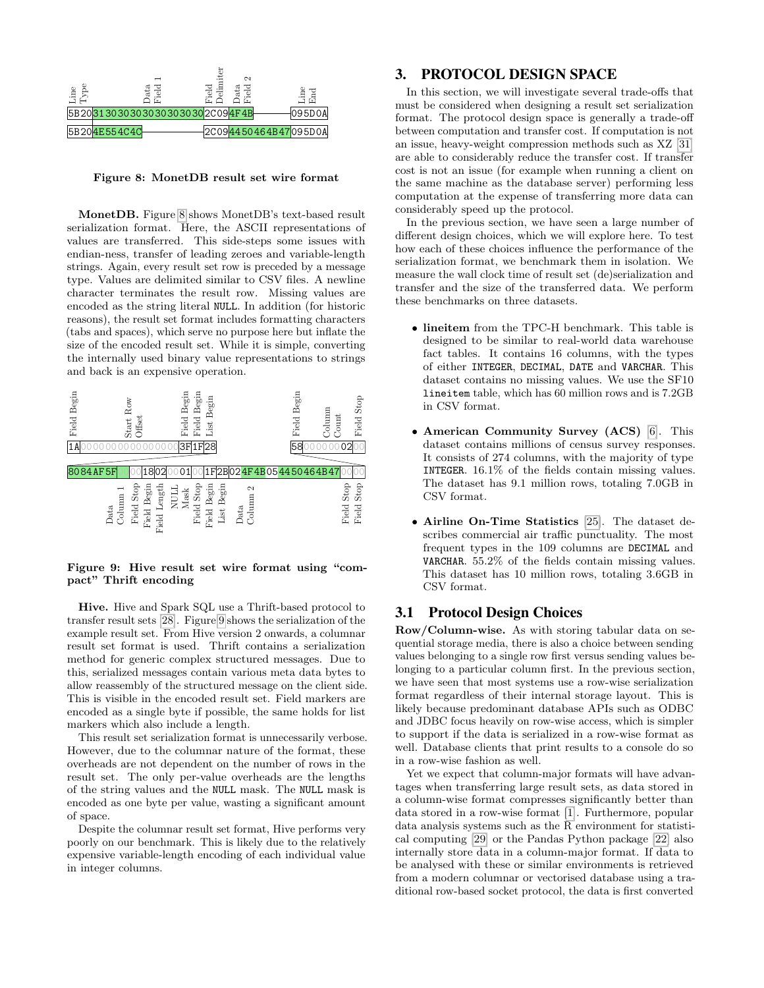

<span id="page-4-1"></span>Figure 8: MonetDB result set wire format

MonetDB. Figure [8](#page-4-1) shows MonetDB's text-based result serialization format. Here, the ASCII representations of values are transferred. This side-steps some issues with endian-ness, transfer of leading zeroes and variable-length strings. Again, every result set row is preceded by a message type. Values are delimited similar to CSV files. A newline character terminates the result row. Missing values are encoded as the string literal NULL. In addition (for historic reasons), the result set format includes formatting characters (tabs and spaces), which serve no purpose here but inflate the size of the encoded result set. While it is simple, converting the internally used binary value representations to strings and back is an expensive operation.



#### <span id="page-4-2"></span>Figure 9: Hive result set wire format using "compact" Thrift encoding

Hive. Hive and Spark SQL use a Thrift-based protocol to transfer result sets [\[28\]](#page-11-24). Figure [9](#page-4-2) shows the serialization of the example result set. From Hive version 2 onwards, a columnar result set format is used. Thrift contains a serialization method for generic complex structured messages. Due to this, serialized messages contain various meta data bytes to allow reassembly of the structured message on the client side. This is visible in the encoded result set. Field markers are encoded as a single byte if possible, the same holds for list markers which also include a length.

This result set serialization format is unnecessarily verbose. However, due to the columnar nature of the format, these overheads are not dependent on the number of rows in the result set. The only per-value overheads are the lengths of the string values and the NULL mask. The NULL mask is encoded as one byte per value, wasting a significant amount of space.

Despite the columnar result set format, Hive performs very poorly on our benchmark. This is likely due to the relatively expensive variable-length encoding of each individual value in integer columns.

# <span id="page-4-0"></span>3. PROTOCOL DESIGN SPACE

In this section, we will investigate several trade-offs that must be considered when designing a result set serialization format. The protocol design space is generally a trade-off between computation and transfer cost. If computation is not an issue, heavy-weight compression methods such as XZ [\[31\]](#page-11-25) are able to considerably reduce the transfer cost. If transfer cost is not an issue (for example when running a client on the same machine as the database server) performing less computation at the expense of transferring more data can considerably speed up the protocol.

In the previous section, we have seen a large number of different design choices, which we will explore here. To test how each of these choices influence the performance of the serialization format, we benchmark them in isolation. We measure the wall clock time of result set (de)serialization and transfer and the size of the transferred data. We perform these benchmarks on three datasets.

- lineitem from the TPC-H benchmark. This table is designed to be similar to real-world data warehouse fact tables. It contains 16 columns, with the types of either INTEGER, DECIMAL, DATE and VARCHAR. This dataset contains no missing values. We use the SF10 lineitem table, which has 60 million rows and is 7.2GB in CSV format.
- American Community Survey (ACS) [\[6\]](#page-11-26). This dataset contains millions of census survey responses. It consists of 274 columns, with the majority of type INTEGER. 16.1% of the fields contain missing values. The dataset has 9.1 million rows, totaling 7.0GB in CSV format.
- Airline On-Time Statistics [\[25\]](#page-11-27). The dataset describes commercial air traffic punctuality. The most frequent types in the 109 columns are DECIMAL and VARCHAR. 55.2% of the fields contain missing values. This dataset has 10 million rows, totaling 3.6GB in CSV format.

# 3.1 Protocol Design Choices

Row/Column-wise. As with storing tabular data on sequential storage media, there is also a choice between sending values belonging to a single row first versus sending values belonging to a particular column first. In the previous section, we have seen that most systems use a row-wise serialization format regardless of their internal storage layout. This is likely because predominant database APIs such as ODBC and JDBC focus heavily on row-wise access, which is simpler to support if the data is serialized in a row-wise format as well. Database clients that print results to a console do so in a row-wise fashion as well.

Yet we expect that column-major formats will have advantages when transferring large result sets, as data stored in a column-wise format compresses significantly better than data stored in a row-wise format [\[1\]](#page-11-28). Furthermore, popular data analysis systems such as the R environment for statistical computing [\[29\]](#page-11-29) or the Pandas Python package [\[22\]](#page-11-30) also internally store data in a column-major format. If data to be analysed with these or similar environments is retrieved from a modern columnar or vectorised database using a traditional row-based socket protocol, the data is first converted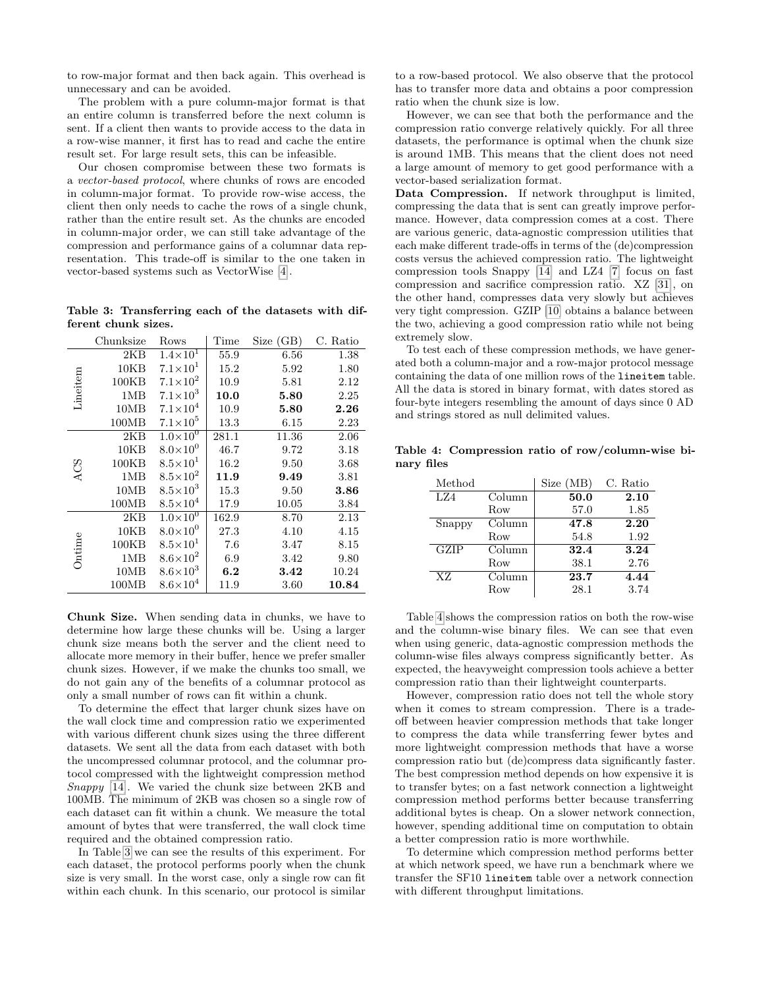to row-major format and then back again. This overhead is unnecessary and can be avoided.

The problem with a pure column-major format is that an entire column is transferred before the next column is sent. If a client then wants to provide access to the data in a row-wise manner, it first has to read and cache the entire result set. For large result sets, this can be infeasible.

Our chosen compromise between these two formats is a vector-based protocol, where chunks of rows are encoded in column-major format. To provide row-wise access, the client then only needs to cache the rows of a single chunk, rather than the entire result set. As the chunks are encoded in column-major order, we can still take advantage of the compression and performance gains of a columnar data representation. This trade-off is similar to the one taken in vector-based systems such as VectorWise [\[4\]](#page-11-31).

<span id="page-5-0"></span>Table 3: Transferring each of the datasets with different chunk sizes.

|          | Chunksize | Rows                | Time  | Size (GB) | C. Ratio   |
|----------|-----------|---------------------|-------|-----------|------------|
|          | 2KB       | $1.4\times10^{1}$   | 55.9  | 6.56      | 1.38       |
|          | 10KB      | $7.1 \times 10^{1}$ | 15.2  | 5.92      | 1.80       |
| Lineitem | 100KB     | $7.1 \times 10^{2}$ | 10.9  | 5.81      | 2.12       |
|          | 1MB       | $7.1 \times 10^{3}$ | 10.0  | 5.80      | 2.25       |
|          | 10MB      | $7.1 \times 10^{4}$ | 10.9  | 5.80      | 2.26       |
|          | 100MB     | $7.1 \times 10^{5}$ | 13.3  | 6.15      | 2.23       |
|          | 2KB       | $1.0 \times 10^{0}$ | 281.1 | 11.36     | 2.06       |
|          | 10KB      | $8.0 \times 10^{0}$ | 46.7  | 9.72      | 3.18       |
| ACS      | 100KB     | $8.5\times10^{1}$   | 16.2  | 9.50      | 3.68       |
|          | 1MB       | $8.5\times10^2$     | 11.9  | 9.49      | 3.81       |
|          | 10MB      | $8.5\times10^3$     | 15.3  | 9.50      | $\bf 3.86$ |
|          | 100MB     | $8.5\times10^4$     | 17.9  | 10.05     | 3.84       |
|          | 2KB       | $1.0\times10^{0}$   | 162.9 | 8.70      | 2.13       |
|          | 10KB      | $8.0 \times 10^{0}$ | 27.3  | 4.10      | 4.15       |
| Ontime   | 100KB     | $8.5\times10^{1}$   | 7.6   | 3.47      | 8.15       |
|          | 1MB       | $8.6\times10^2$     | 6.9   | 3.42      | 9.80       |
|          | 10MB      | $8.6 \times 10^{3}$ | 6.2   | 3.42      | 10.24      |
|          | 100MB     | $8.6\times10^{4}$   | 11.9  | 3.60      | 10.84      |

Chunk Size. When sending data in chunks, we have to determine how large these chunks will be. Using a larger chunk size means both the server and the client need to allocate more memory in their buffer, hence we prefer smaller chunk sizes. However, if we make the chunks too small, we do not gain any of the benefits of a columnar protocol as only a small number of rows can fit within a chunk.

To determine the effect that larger chunk sizes have on the wall clock time and compression ratio we experimented with various different chunk sizes using the three different datasets. We sent all the data from each dataset with both the uncompressed columnar protocol, and the columnar protocol compressed with the lightweight compression method Snappy [\[14\]](#page-11-32). We varied the chunk size between 2KB and 100MB. The minimum of 2KB was chosen so a single row of each dataset can fit within a chunk. We measure the total amount of bytes that were transferred, the wall clock time required and the obtained compression ratio.

In Table [3](#page-5-0) we can see the results of this experiment. For each dataset, the protocol performs poorly when the chunk size is very small. In the worst case, only a single row can fit within each chunk. In this scenario, our protocol is similar

to a row-based protocol. We also observe that the protocol has to transfer more data and obtains a poor compression ratio when the chunk size is low.

However, we can see that both the performance and the compression ratio converge relatively quickly. For all three datasets, the performance is optimal when the chunk size is around 1MB. This means that the client does not need a large amount of memory to get good performance with a vector-based serialization format.

Data Compression. If network throughput is limited, compressing the data that is sent can greatly improve performance. However, data compression comes at a cost. There are various generic, data-agnostic compression utilities that each make different trade-offs in terms of the (de)compression costs versus the achieved compression ratio. The lightweight compression tools Snappy [\[14\]](#page-11-32) and LZ4 [\[7\]](#page-11-33) focus on fast compression and sacrifice compression ratio. XZ [\[31\]](#page-11-25), on the other hand, compresses data very slowly but achieves very tight compression. GZIP [\[10\]](#page-11-34) obtains a balance between the two, achieving a good compression ratio while not being extremely slow.

To test each of these compression methods, we have generated both a column-major and a row-major protocol message containing the data of one million rows of the lineitem table. All the data is stored in binary format, with dates stored as four-byte integers resembling the amount of days since 0 AD and strings stored as null delimited values.

Table 4: Compression ratio of row/column-wise binary files

<span id="page-5-1"></span>

| Method      |        | Size (MB) | C. Ratio |
|-------------|--------|-----------|----------|
| LZ4         | Column | 50.0      | 2.10     |
|             | Row    | 57.0      | 1.85     |
| Snappy      | Column | 47.8      | 2.20     |
|             | Row    | 54.8      | 1.92     |
| <b>GZIP</b> | Column | 32.4      | 3.24     |
|             | Row    | 38.1      | 2.76     |
| XZ          | Column | 23.7      | 4.44     |
|             | Row    | 28.1      | 3.74     |

Table [4](#page-5-1) shows the compression ratios on both the row-wise and the column-wise binary files. We can see that even when using generic, data-agnostic compression methods the column-wise files always compress significantly better. As expected, the heavyweight compression tools achieve a better compression ratio than their lightweight counterparts.

However, compression ratio does not tell the whole story when it comes to stream compression. There is a tradeoff between heavier compression methods that take longer to compress the data while transferring fewer bytes and more lightweight compression methods that have a worse compression ratio but (de)compress data significantly faster. The best compression method depends on how expensive it is to transfer bytes; on a fast network connection a lightweight compression method performs better because transferring additional bytes is cheap. On a slower network connection, however, spending additional time on computation to obtain a better compression ratio is more worthwhile.

To determine which compression method performs better at which network speed, we have run a benchmark where we transfer the SF10 lineitem table over a network connection with different throughput limitations.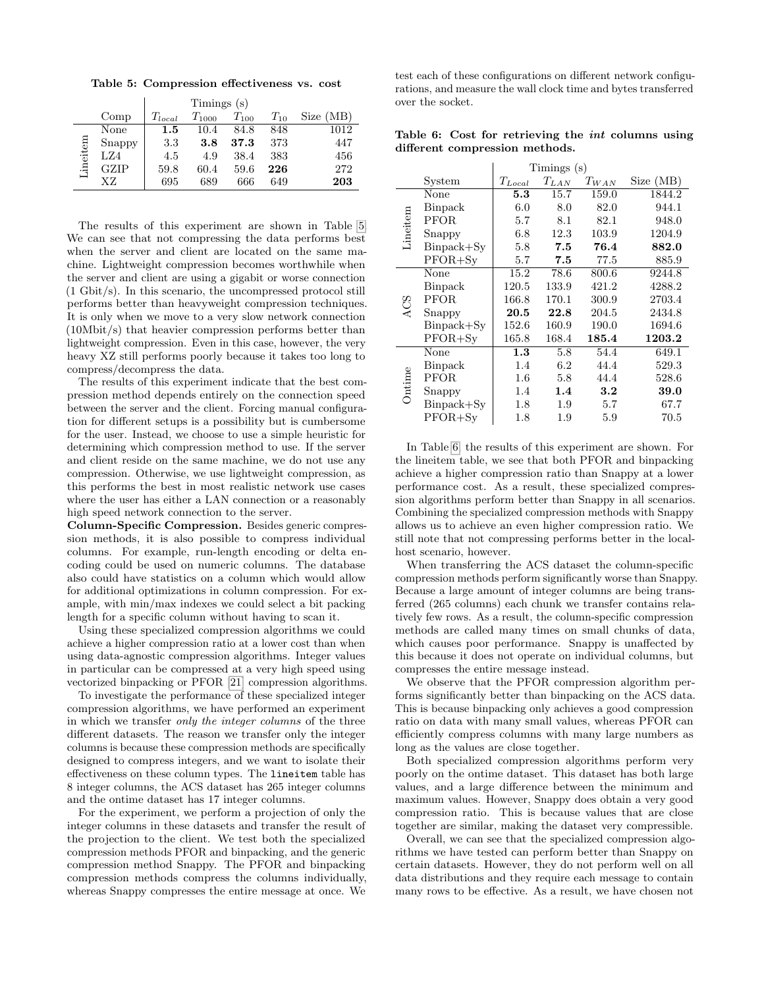<span id="page-6-0"></span>Table 5: Compression effectiveness vs. cost

|          |             |             | Timings (s) |           |          |           |  |  |
|----------|-------------|-------------|-------------|-----------|----------|-----------|--|--|
|          | Comp        | $T_{local}$ | $T_{1000}$  | $T_{100}$ | $T_{10}$ | Size (MB) |  |  |
|          | None        | $1.5\,$     | 10.4        | 84.8      | 848      | 1012      |  |  |
| Lineitem | Snappy      | 3.3         | 3.8         | 37.3      | 373      | 447       |  |  |
|          | LZ4         | 4.5         | 4.9         | 38.4      | 383      | 456       |  |  |
|          | <b>GZIP</b> | 59.8        | 60.4        | 59.6      | 226      | 272       |  |  |
|          | XZ          | 695         | 689         | 666       | 649      | 203       |  |  |

The results of this experiment are shown in Table [5.](#page-6-0) We can see that not compressing the data performs best when the server and client are located on the same machine. Lightweight compression becomes worthwhile when the server and client are using a gigabit or worse connection (1 Gbit/s). In this scenario, the uncompressed protocol still performs better than heavyweight compression techniques. It is only when we move to a very slow network connection (10Mbit/s) that heavier compression performs better than lightweight compression. Even in this case, however, the very heavy XZ still performs poorly because it takes too long to compress/decompress the data.

The results of this experiment indicate that the best compression method depends entirely on the connection speed between the server and the client. Forcing manual configuration for different setups is a possibility but is cumbersome for the user. Instead, we choose to use a simple heuristic for determining which compression method to use. If the server and client reside on the same machine, we do not use any compression. Otherwise, we use lightweight compression, as this performs the best in most realistic network use cases where the user has either a LAN connection or a reasonably high speed network connection to the server.

Column-Specific Compression. Besides generic compression methods, it is also possible to compress individual columns. For example, run-length encoding or delta encoding could be used on numeric columns. The database also could have statistics on a column which would allow for additional optimizations in column compression. For example, with min/max indexes we could select a bit packing length for a specific column without having to scan it.

Using these specialized compression algorithms we could achieve a higher compression ratio at a lower cost than when using data-agnostic compression algorithms. Integer values in particular can be compressed at a very high speed using vectorized binpacking or PFOR [\[21\]](#page-11-35) compression algorithms.

To investigate the performance of these specialized integer compression algorithms, we have performed an experiment in which we transfer only the integer columns of the three different datasets. The reason we transfer only the integer columns is because these compression methods are specifically designed to compress integers, and we want to isolate their effectiveness on these column types. The lineitem table has 8 integer columns, the ACS dataset has 265 integer columns and the ontime dataset has 17 integer columns.

For the experiment, we perform a projection of only the integer columns in these datasets and transfer the result of the projection to the client. We test both the specialized compression methods PFOR and binpacking, and the generic compression method Snappy. The PFOR and binpacking compression methods compress the columns individually, whereas Snappy compresses the entire message at once. We test each of these configurations on different network configurations, and measure the wall clock time and bytes transferred over the socket.

<span id="page-6-1"></span>Table 6: Cost for retrieving the int columns using different compression methods.

|          |                  | Timings (s) |           |           |           |  |
|----------|------------------|-------------|-----------|-----------|-----------|--|
|          | System           | $T_{Local}$ | $T_{LAN}$ | $T_{WAN}$ | Size (MB) |  |
|          | None             | 5.3         | 15.7      | 159.0     | 1844.2    |  |
|          | Binpack          | 6.0         | 8.0       | 82.0      | 944.1     |  |
| Lineitem | PFOR             | 5.7         | 8.1       | 82.1      | 948.0     |  |
|          | Snappy           | 6.8         | 12.3      | 103.9     | 1204.9    |  |
|          | $B$ inpack $+Sy$ | 5.8         | $7.5\,$   | 76.4      | 882.0     |  |
|          | $PFOR + Sv$      | 5.7         | $7.5\,$   | 77.5      | 885.9     |  |
|          | None             | 15.2        | 78.6      | 800.6     | 9244.8    |  |
|          | Binpack          | 120.5       | 133.9     | 421.2     | 4288.2    |  |
|          | <b>PFOR</b>      | 166.8       | 170.1     | 300.9     | 2703.4    |  |
| ACS      | Snappy           | 20.5        | 22.8      | 204.5     | 2434.8    |  |
|          | $B$ inpack $+Sy$ | 152.6       | 160.9     | 190.0     | 1694.6    |  |
|          | $PFOR + Sy$      | 165.8       | 168.4     | $185.4\,$ | 1203.2    |  |
|          | None             | 1.3         | 5.8       | 54.4      | 649.1     |  |
|          | Binpack          | 1.4         | 6.2       | 44.4      | 529.3     |  |
| Ontime   | <b>PFOR</b>      | $1.6\,$     | 5.8       | 44.4      | 528.6     |  |
|          | Snappy           | 1.4         | $1.4\,$   | 3.2       | 39.0      |  |
|          | Binpack+Sy       | 1.8         | 1.9       | 5.7       | 67.7      |  |
|          | $PFOR + Sv$      | 1.8         | 1.9       | 5.9       | $70.5\,$  |  |

In Table [6,](#page-6-1) the results of this experiment are shown. For the lineitem table, we see that both PFOR and binpacking achieve a higher compression ratio than Snappy at a lower performance cost. As a result, these specialized compression algorithms perform better than Snappy in all scenarios. Combining the specialized compression methods with Snappy allows us to achieve an even higher compression ratio. We still note that not compressing performs better in the localhost scenario, however.

When transferring the ACS dataset the column-specific compression methods perform significantly worse than Snappy. Because a large amount of integer columns are being transferred (265 columns) each chunk we transfer contains relatively few rows. As a result, the column-specific compression methods are called many times on small chunks of data, which causes poor performance. Snappy is unaffected by this because it does not operate on individual columns, but compresses the entire message instead.

We observe that the PFOR compression algorithm performs significantly better than binpacking on the ACS data. This is because binpacking only achieves a good compression ratio on data with many small values, whereas PFOR can efficiently compress columns with many large numbers as long as the values are close together.

Both specialized compression algorithms perform very poorly on the ontime dataset. This dataset has both large values, and a large difference between the minimum and maximum values. However, Snappy does obtain a very good compression ratio. This is because values that are close together are similar, making the dataset very compressible.

Overall, we can see that the specialized compression algorithms we have tested can perform better than Snappy on certain datasets. However, they do not perform well on all data distributions and they require each message to contain many rows to be effective. As a result, we have chosen not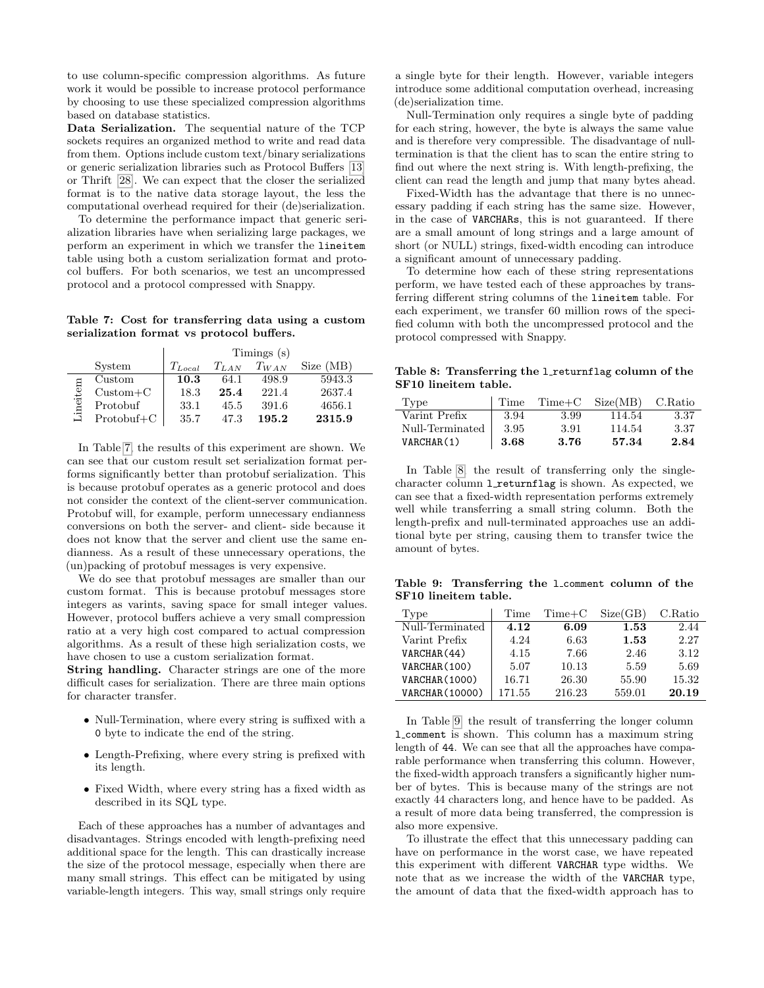to use column-specific compression algorithms. As future work it would be possible to increase protocol performance by choosing to use these specialized compression algorithms based on database statistics.

Data Serialization. The sequential nature of the TCP sockets requires an organized method to write and read data from them. Options include custom text/binary serializations or generic serialization libraries such as Protocol Buffers [\[13\]](#page-11-36) or Thrift [\[28\]](#page-11-24). We can expect that the closer the serialized format is to the native data storage layout, the less the computational overhead required for their (de)serialization.

To determine the performance impact that generic serialization libraries have when serializing large packages, we perform an experiment in which we transfer the lineitem table using both a custom serialization format and protocol buffers. For both scenarios, we test an uncompressed protocol and a protocol compressed with Snappy.

<span id="page-7-0"></span>Table 7: Cost for transferring data using a custom serialization format vs protocol buffers.

|          |              | Timings (s) |           |           |          |  |  |
|----------|--------------|-------------|-----------|-----------|----------|--|--|
|          | System       | $T_{Local}$ | $T_{LAN}$ | $T_{WAN}$ | Size(MB) |  |  |
|          | Custom       | 10.3        | 64.1      | 498.9     | 5943.3   |  |  |
|          | $Custom+C$   | 18.3        | 25.4      | 221.4     | 2637.4   |  |  |
| Lineitem | Protobuf     | 33.1        | 45.5      | 391.6     | 4656.1   |  |  |
|          | $Protobuf+C$ | 35.7        | 47.3      | 195.2     | 2315.9   |  |  |

In Table [7,](#page-7-0) the results of this experiment are shown. We can see that our custom result set serialization format performs significantly better than protobuf serialization. This is because protobuf operates as a generic protocol and does not consider the context of the client-server communication. Protobuf will, for example, perform unnecessary endianness conversions on both the server- and client- side because it does not know that the server and client use the same endianness. As a result of these unnecessary operations, the (un)packing of protobuf messages is very expensive.

We do see that protobuf messages are smaller than our custom format. This is because protobuf messages store integers as varints, saving space for small integer values. However, protocol buffers achieve a very small compression ratio at a very high cost compared to actual compression algorithms. As a result of these high serialization costs, we have chosen to use a custom serialization format.

String handling. Character strings are one of the more difficult cases for serialization. There are three main options for character transfer.

- Null-Termination, where every string is suffixed with a 0 byte to indicate the end of the string.
- Length-Prefixing, where every string is prefixed with its length.
- Fixed Width, where every string has a fixed width as described in its SQL type.

Each of these approaches has a number of advantages and disadvantages. Strings encoded with length-prefixing need additional space for the length. This can drastically increase the size of the protocol message, especially when there are many small strings. This effect can be mitigated by using variable-length integers. This way, small strings only require a single byte for their length. However, variable integers introduce some additional computation overhead, increasing (de)serialization time.

Null-Termination only requires a single byte of padding for each string, however, the byte is always the same value and is therefore very compressible. The disadvantage of nulltermination is that the client has to scan the entire string to find out where the next string is. With length-prefixing, the client can read the length and jump that many bytes ahead.

Fixed-Width has the advantage that there is no unnecessary padding if each string has the same size. However, in the case of VARCHARs, this is not guaranteed. If there are a small amount of long strings and a large amount of short (or NULL) strings, fixed-width encoding can introduce a significant amount of unnecessary padding.

To determine how each of these string representations perform, we have tested each of these approaches by transferring different string columns of the lineitem table. For each experiment, we transfer 60 million rows of the specified column with both the uncompressed protocol and the protocol compressed with Snappy.

<span id="page-7-1"></span>Table 8: Transferring the 1\_returnflag column of the SF10 lineitem table.

| Type            | Time  | $Time+C$ | Size(MB) | C.Ratio |
|-----------------|-------|----------|----------|---------|
| Varint Prefix   | -3.94 | 3.99     | 114.54   | -3.37   |
| Null-Terminated | 3.95  | 3.91     | 114.54   | -3.37   |
| VARCHAR(1)      | 3.68  | 3.76     | 57.34    | 2.84    |

In Table [8,](#page-7-1) the result of transferring only the singlecharacter column **l\_returnflag** is shown. As expected, we can see that a fixed-width representation performs extremely well while transferring a small string column. Both the length-prefix and null-terminated approaches use an additional byte per string, causing them to transfer twice the amount of bytes.

<span id="page-7-2"></span>Table 9: Transferring the l comment column of the SF10 lineitem table.

| Type                  | Time   | $Time+C$ | Size(GB) | C.Ratio |
|-----------------------|--------|----------|----------|---------|
| Null-Terminated       | 4.12   | 6.09     | 1.53     | 2.44    |
| Varint Prefix         | 4.24   | 6.63     | 1.53     | 2.27    |
| VARCHAR(44)           | 4.15   | 7.66     | 2.46     | 3.12    |
| VARCHAR (100)         | 5.07   | 10.13    | 5.59     | 5.69    |
| <b>VARCHAR (1000)</b> | 16.71  | 26.30    | 55.90    | 15.32   |
| VARCHAR (10000)       | 171.55 | 216.23   | 559.01   | 20.19   |

In Table [9,](#page-7-2) the result of transferring the longer column l comment is shown. This column has a maximum string length of 44. We can see that all the approaches have comparable performance when transferring this column. However, the fixed-width approach transfers a significantly higher number of bytes. This is because many of the strings are not exactly 44 characters long, and hence have to be padded. As a result of more data being transferred, the compression is also more expensive.

To illustrate the effect that this unnecessary padding can have on performance in the worst case, we have repeated this experiment with different VARCHAR type widths. We note that as we increase the width of the VARCHAR type, the amount of data that the fixed-width approach has to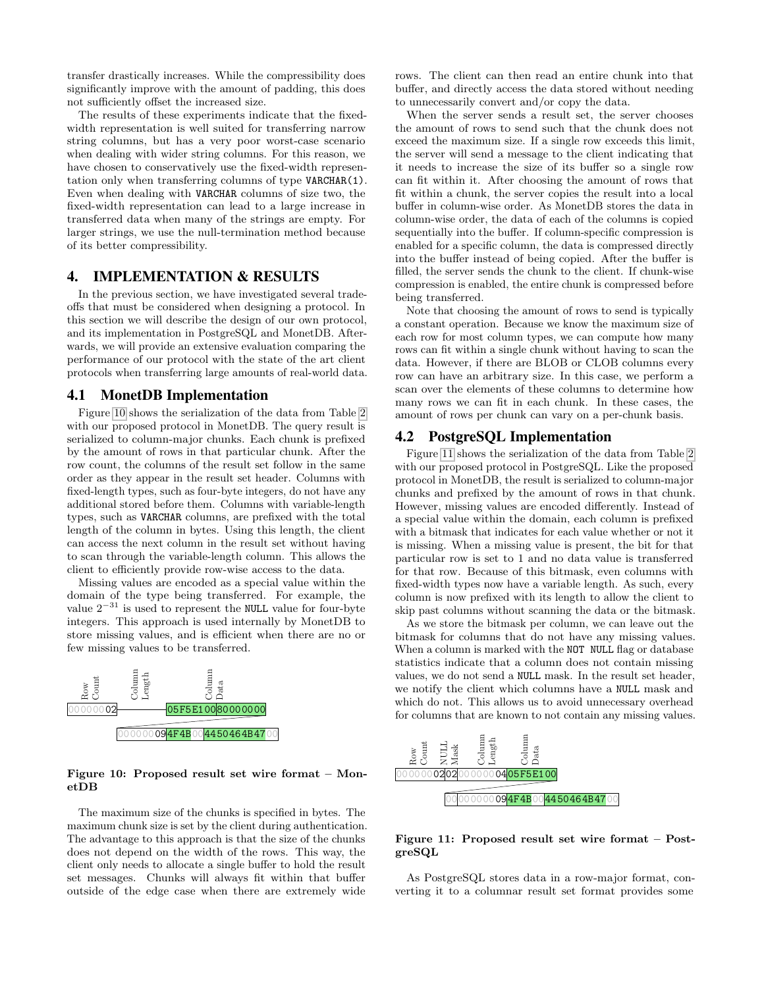transfer drastically increases. While the compressibility does significantly improve with the amount of padding, this does not sufficiently offset the increased size.

The results of these experiments indicate that the fixedwidth representation is well suited for transferring narrow string columns, but has a very poor worst-case scenario when dealing with wider string columns. For this reason, we have chosen to conservatively use the fixed-width representation only when transferring columns of type VARCHAR(1). Even when dealing with VARCHAR columns of size two, the fixed-width representation can lead to a large increase in transferred data when many of the strings are empty. For larger strings, we use the null-termination method because of its better compressibility.

# <span id="page-8-0"></span>4. IMPLEMENTATION & RESULTS

In the previous section, we have investigated several tradeoffs that must be considered when designing a protocol. In this section we will describe the design of our own protocol, and its implementation in PostgreSQL and MonetDB. Afterwards, we will provide an extensive evaluation comparing the performance of our protocol with the state of the art client protocols when transferring large amounts of real-world data.

#### 4.1 MonetDB Implementation

Figure [10](#page-8-1) shows the serialization of the data from Table [2](#page-3-0) with our proposed protocol in MonetDB. The query result is serialized to column-major chunks. Each chunk is prefixed by the amount of rows in that particular chunk. After the row count, the columns of the result set follow in the same order as they appear in the result set header. Columns with fixed-length types, such as four-byte integers, do not have any additional stored before them. Columns with variable-length types, such as VARCHAR columns, are prefixed with the total length of the column in bytes. Using this length, the client can access the next column in the result set without having to scan through the variable-length column. This allows the client to efficiently provide row-wise access to the data.

Missing values are encoded as a special value within the domain of the type being transferred. For example, the value  $2^{-31}$  is used to represent the NULL value for four-byte integers. This approach is used internally by MonetDB to store missing values, and is efficient when there are no or few missing values to be transferred.



#### <span id="page-8-1"></span>Figure 10: Proposed result set wire format – MonetDB

The maximum size of the chunks is specified in bytes. The maximum chunk size is set by the client during authentication. The advantage to this approach is that the size of the chunks does not depend on the width of the rows. This way, the client only needs to allocate a single buffer to hold the result set messages. Chunks will always fit within that buffer outside of the edge case when there are extremely wide

rows. The client can then read an entire chunk into that buffer, and directly access the data stored without needing to unnecessarily convert and/or copy the data.

When the server sends a result set, the server chooses the amount of rows to send such that the chunk does not exceed the maximum size. If a single row exceeds this limit, the server will send a message to the client indicating that it needs to increase the size of its buffer so a single row can fit within it. After choosing the amount of rows that fit within a chunk, the server copies the result into a local buffer in column-wise order. As MonetDB stores the data in column-wise order, the data of each of the columns is copied sequentially into the buffer. If column-specific compression is enabled for a specific column, the data is compressed directly into the buffer instead of being copied. After the buffer is filled, the server sends the chunk to the client. If chunk-wise compression is enabled, the entire chunk is compressed before being transferred.

Note that choosing the amount of rows to send is typically a constant operation. Because we know the maximum size of each row for most column types, we can compute how many rows can fit within a single chunk without having to scan the data. However, if there are BLOB or CLOB columns every row can have an arbitrary size. In this case, we perform a scan over the elements of these columns to determine how many rows we can fit in each chunk. In these cases, the amount of rows per chunk can vary on a per-chunk basis.

#### 4.2 PostgreSQL Implementation

Figure [11](#page-8-2) shows the serialization of the data from Table [2](#page-3-0) with our proposed protocol in PostgreSQL. Like the proposed protocol in MonetDB, the result is serialized to column-major chunks and prefixed by the amount of rows in that chunk. However, missing values are encoded differently. Instead of a special value within the domain, each column is prefixed with a bitmask that indicates for each value whether or not it is missing. When a missing value is present, the bit for that particular row is set to 1 and no data value is transferred for that row. Because of this bitmask, even columns with fixed-width types now have a variable length. As such, every column is now prefixed with its length to allow the client to skip past columns without scanning the data or the bitmask.

As we store the bitmask per column, we can leave out the bitmask for columns that do not have any missing values. When a column is marked with the NOT NULL flag or database statistics indicate that a column does not contain missing values, we do not send a NULL mask. In the result set header, we notify the client which columns have a NULL mask and which do not. This allows us to avoid unnecessary overhead for columns that are known to not contain any missing values.



#### <span id="page-8-2"></span>Figure 11: Proposed result set wire format – PostgreSQL

As PostgreSQL stores data in a row-major format, converting it to a columnar result set format provides some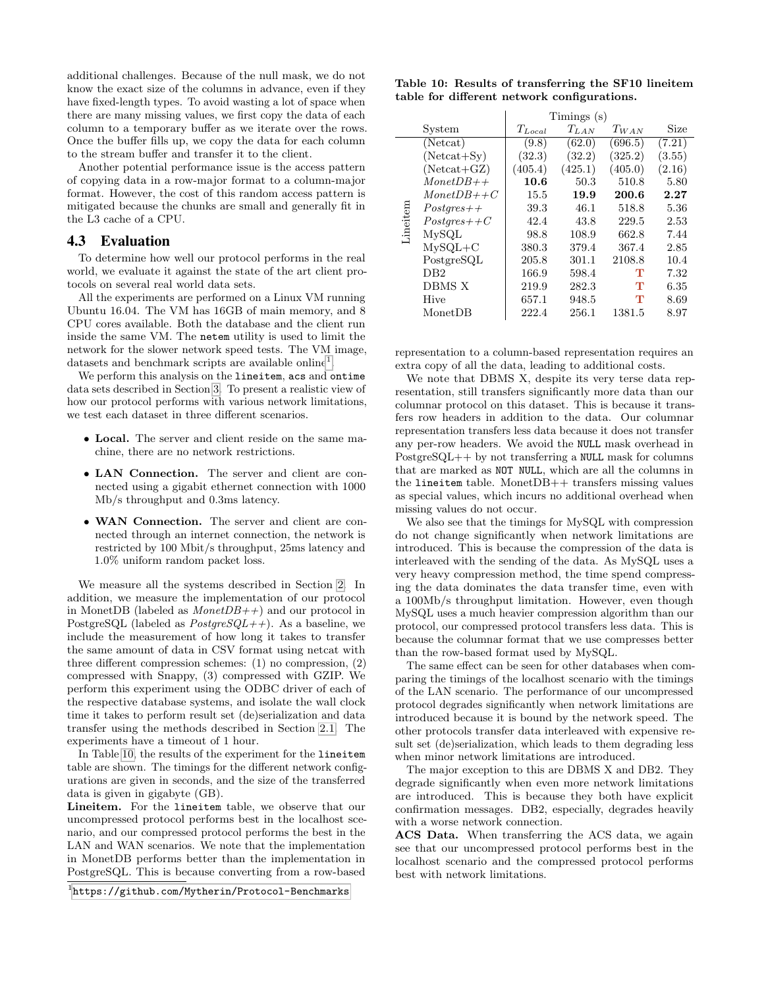additional challenges. Because of the null mask, we do not know the exact size of the columns in advance, even if they have fixed-length types. To avoid wasting a lot of space when there are many missing values, we first copy the data of each column to a temporary buffer as we iterate over the rows. Once the buffer fills up, we copy the data for each column to the stream buffer and transfer it to the client.

Another potential performance issue is the access pattern of copying data in a row-major format to a column-major format. However, the cost of this random access pattern is mitigated because the chunks are small and generally fit in the L3 cache of a CPU.

## 4.3 Evaluation

To determine how well our protocol performs in the real world, we evaluate it against the state of the art client protocols on several real world data sets.

All the experiments are performed on a Linux VM running Ubuntu 16.04. The VM has 16GB of main memory, and 8 CPU cores available. Both the database and the client run inside the same VM. The netem utility is used to limit the network for the slower network speed tests. The VM image, datasets and benchmark scripts are available online<sup>[1](#page-9-0)</sup>.

We perform this analysis on the lineitem, acs and ontime data sets described in Section [3.](#page-4-0) To present a realistic view of how our protocol performs with various network limitations, we test each dataset in three different scenarios.

- Local. The server and client reside on the same machine, there are no network restrictions.
- LAN Connection. The server and client are connected using a gigabit ethernet connection with 1000 Mb/s throughput and 0.3ms latency.
- WAN Connection. The server and client are connected through an internet connection, the network is restricted by 100 Mbit/s throughput, 25ms latency and 1.0% uniform random packet loss.

We measure all the systems described in Section [2.](#page-1-0) In addition, we measure the implementation of our protocol in MonetDB (labeled as  $MonetDB++$ ) and our protocol in PostgreSQL (labeled as  $PostgresQL++)$ ). As a baseline, we include the measurement of how long it takes to transfer the same amount of data in CSV format using netcat with three different compression schemes: (1) no compression, (2) compressed with Snappy, (3) compressed with GZIP. We perform this experiment using the ODBC driver of each of the respective database systems, and isolate the wall clock time it takes to perform result set (de)serialization and data transfer using the methods described in Section [2.1.](#page-1-2) The experiments have a timeout of 1 hour.

In Table [10,](#page-9-1) the results of the experiment for the lineitem table are shown. The timings for the different network configurations are given in seconds, and the size of the transferred data is given in gigabyte (GB).

Lineitem. For the lineitem table, we observe that our uncompressed protocol performs best in the localhost scenario, and our compressed protocol performs the best in the LAN and WAN scenarios. We note that the implementation in MonetDB performs better than the implementation in PostgreSQL. This is because converting from a row-based

<span id="page-9-1"></span>

|  | Table 10: Results of transferring the SF10 lineitem |  |  |
|--|-----------------------------------------------------|--|--|
|  | table for different network configurations.         |  |  |

|          |                    | Timings (s) |           |           |        |  |
|----------|--------------------|-------------|-----------|-----------|--------|--|
|          | System             | $T_{Local}$ | $T_{LAN}$ | $T_{WAN}$ | Size   |  |
| Lineitem | (Netcat)           | (9.8)       | (62.0)    | (696.5)   | (7.21) |  |
|          | $(Netcat+Sy)$      | (32.3)      | (32.2)    | (325.2)   | (3.55) |  |
|          | $(Netcat+GZ)$      | (405.4)     | (425.1)   | (405.0)   | (2.16) |  |
|          | $MonetDB++$        | 10.6        | 50.3      | 510.8     | 5.80   |  |
|          | $Monet DB++C$      | 15.5        | 19.9      | 200.6     | 2.27   |  |
|          | $Postares++$       | 39.3        | 46.1      | 518.8     | 5.36   |  |
|          | $Postares++C$      | 42.4        | 43.8      | 229.5     | 2.53   |  |
|          | M <sub>V</sub> SQL | 98.8        | 108.9     | 662.8     | 7.44   |  |
|          | $MvSQL+C$          | 380.3       | 379.4     | 367.4     | 2.85   |  |
|          | PostgreSQL         | 205.8       | 301.1     | 2108.8    | 10.4   |  |
|          | DB2                | 166.9       | 598.4     | т         | 7.32   |  |
|          | DBMS X             | 219.9       | 282.3     | т         | 6.35   |  |
|          | Hive               | 657.1       | 948.5     | т         | 8.69   |  |
|          | MonetDB            | 222.4       | 256.1     | 1381.5    | 8.97   |  |

representation to a column-based representation requires an extra copy of all the data, leading to additional costs.

We note that DBMS X, despite its very terse data representation, still transfers significantly more data than our columnar protocol on this dataset. This is because it transfers row headers in addition to the data. Our columnar representation transfers less data because it does not transfer any per-row headers. We avoid the NULL mask overhead in PostgreSQL++ by not transferring a NULL mask for columns that are marked as NOT NULL, which are all the columns in the linearitiem table. Monet $DB++$  transfers missing values as special values, which incurs no additional overhead when missing values do not occur.

We also see that the timings for MySQL with compression do not change significantly when network limitations are introduced. This is because the compression of the data is interleaved with the sending of the data. As MySQL uses a very heavy compression method, the time spend compressing the data dominates the data transfer time, even with a 100Mb/s throughput limitation. However, even though MySQL uses a much heavier compression algorithm than our protocol, our compressed protocol transfers less data. This is because the columnar format that we use compresses better than the row-based format used by MySQL.

The same effect can be seen for other databases when comparing the timings of the localhost scenario with the timings of the LAN scenario. The performance of our uncompressed protocol degrades significantly when network limitations are introduced because it is bound by the network speed. The other protocols transfer data interleaved with expensive result set (de)serialization, which leads to them degrading less when minor network limitations are introduced.

The major exception to this are DBMS X and DB2. They degrade significantly when even more network limitations are introduced. This is because they both have explicit confirmation messages. DB2, especially, degrades heavily with a worse network connection.

ACS Data. When transferring the ACS data, we again see that our uncompressed protocol performs best in the localhost scenario and the compressed protocol performs best with network limitations.

<span id="page-9-0"></span><sup>1</sup> <https://github.com/Mytherin/Protocol-Benchmarks>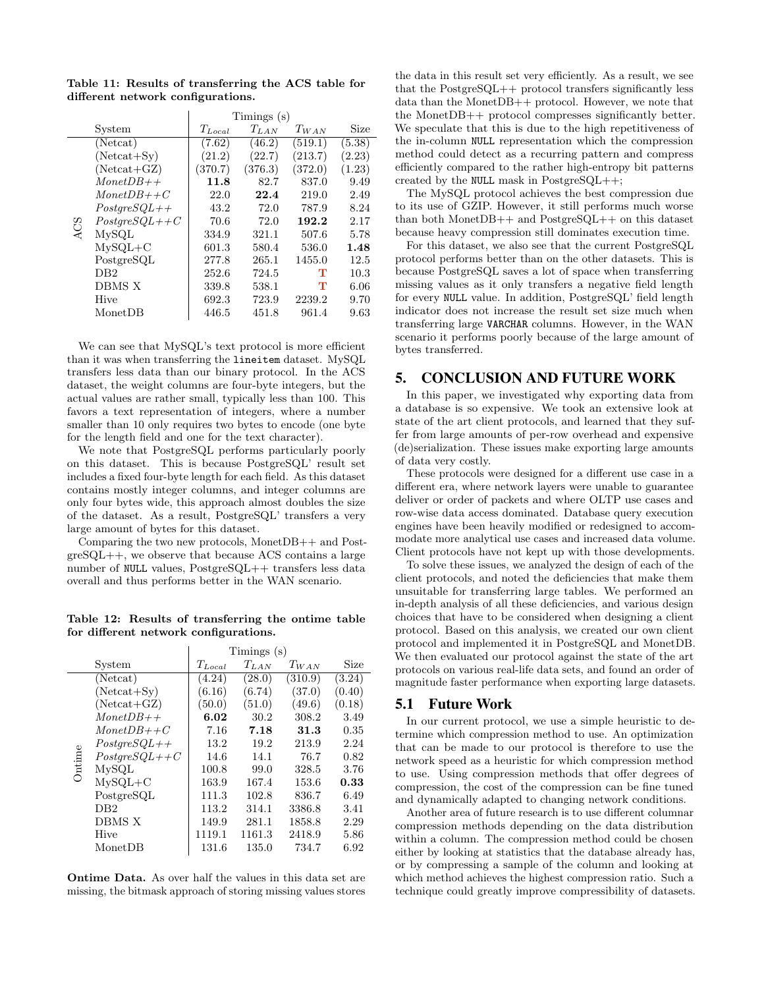Table 11: Results of transferring the ACS table for different network configurations.

|     |                 | Timings (s) |           |           |             |
|-----|-----------------|-------------|-----------|-----------|-------------|
|     | System          | $T_{Local}$ | $T_{LAN}$ | $T_{WAN}$ | <b>Size</b> |
| ACS | (Netcat)        | (7.62)      | (46.2)    | (519.1)   | (5.38)      |
|     | $(Netcat+Sy)$   | (21.2)      | (22.7)    | (213.7)   | (2.23)      |
|     | $(Netcat+GZ)$   | (370.7)     | (376.3)   | (372.0)   | (1.23)      |
|     | $Monet DB++$    | 11.8        | 82.7      | 837.0     | 9.49        |
|     | $Monet DB++C$   | 22.0        | 22.4      | 219.0     | 2.49        |
|     | $PostqreSQL++$  | 43.2        | 72.0      | 787.9     | 8.24        |
|     | $PostqresQL++C$ | 70.6        | 72.0      | 192.2     | 2.17        |
|     | MySQL           | 334.9       | 321.1     | 507.6     | 5.78        |
|     | $MySQL + C$     | 601.3       | 580.4     | 536.0     | 1.48        |
|     | PostgreSQL      | 277.8       | 265.1     | 1455.0    | 12.5        |
|     | DB2             | 252.6       | 724.5     | т         | 10.3        |
|     | DBMS X          | 339.8       | 538.1     | т         | 6.06        |
|     | Hive            | 692.3       | 723.9     | 2239.2    | 9.70        |
|     | MonetDB         | 446.5       | 451.8     | 961.4     | 9.63        |

We can see that MySQL's text protocol is more efficient than it was when transferring the lineitem dataset. MySQL transfers less data than our binary protocol. In the ACS dataset, the weight columns are four-byte integers, but the actual values are rather small, typically less than 100. This favors a text representation of integers, where a number smaller than 10 only requires two bytes to encode (one byte for the length field and one for the text character).

We note that PostgreSQL performs particularly poorly on this dataset. This is because PostgreSQL' result set includes a fixed four-byte length for each field. As this dataset contains mostly integer columns, and integer columns are only four bytes wide, this approach almost doubles the size of the dataset. As a result, PostgreSQL' transfers a very large amount of bytes for this dataset.

Comparing the two new protocols, MonetDB++ and PostgreSQL++, we observe that because ACS contains a large number of NULL values, PostgreSQL++ transfers less data overall and thus performs better in the WAN scenario.

Table 12: Results of transferring the ontime table for different network configurations.

|        |                    | Timings (s) |           |           |             |  |
|--------|--------------------|-------------|-----------|-----------|-------------|--|
|        | System             | $T_{Local}$ | $T_{LAN}$ | $T_{WAN}$ | <b>Size</b> |  |
| Ontime | (Netcat)           | (4.24)      | (28.0)    | (310.9)   | (3.24)      |  |
|        | $(Netcat+Sy)$      | (6.16)      | (6.74)    | (37.0)    | (0.40)      |  |
|        | $(Netcat+GZ)$      | (50.0)      | (51.0)    | (49.6)    | (0.18)      |  |
|        | $Monet DB++$       | 6.02        | 30.2      | 308.2     | 3.49        |  |
|        | $Monet DB++C$      | 7.16        | 7.18      | 31.3      | 0.35        |  |
|        | $PostqresQL++$     | 13.2        | 19.2      | 213.9     | 2.24        |  |
|        | $PostqresQL++C$    | 14.6        | 14.1      | 76.7      | 0.82        |  |
|        | M <sub>V</sub> SQL | 100.8       | 99.0      | 328.5     | 3.76        |  |
|        | $MYSQL+C$          | 163.9       | 167.4     | 153.6     | 0.33        |  |
|        | PostgreSQL         | 111.3       | 102.8     | 836.7     | 6.49        |  |
|        | DB2                | 113.2       | 314.1     | 3386.8    | 3.41        |  |
|        | DBMS X             | 149.9       | 281.1     | 1858.8    | 2.29        |  |
|        | Hive               | 1119.1      | 1161.3    | 2418.9    | 5.86        |  |
|        | MonetDB            | 131.6       | 135.0     | 734.7     | 6.92        |  |

Ontime Data. As over half the values in this data set are missing, the bitmask approach of storing missing values stores

the data in this result set very efficiently. As a result, we see that the PostgreSQL++ protocol transfers significantly less data than the MonetDB++ protocol. However, we note that the MonetDB++ protocol compresses significantly better. We speculate that this is due to the high repetitiveness of the in-column NULL representation which the compression method could detect as a recurring pattern and compress efficiently compared to the rather high-entropy bit patterns created by the NULL mask in PostgreSQL++;

The MySQL protocol achieves the best compression due to its use of GZIP. However, it still performs much worse than both MonetDB++ and PostgreSQL++ on this dataset because heavy compression still dominates execution time.

For this dataset, we also see that the current PostgreSQL protocol performs better than on the other datasets. This is because PostgreSQL saves a lot of space when transferring missing values as it only transfers a negative field length for every NULL value. In addition, PostgreSQL' field length indicator does not increase the result set size much when transferring large VARCHAR columns. However, in the WAN scenario it performs poorly because of the large amount of bytes transferred.

## <span id="page-10-0"></span>5. CONCLUSION AND FUTURE WORK

In this paper, we investigated why exporting data from a database is so expensive. We took an extensive look at state of the art client protocols, and learned that they suffer from large amounts of per-row overhead and expensive (de)serialization. These issues make exporting large amounts of data very costly.

These protocols were designed for a different use case in a different era, where network layers were unable to guarantee deliver or order of packets and where OLTP use cases and row-wise data access dominated. Database query execution engines have been heavily modified or redesigned to accommodate more analytical use cases and increased data volume. Client protocols have not kept up with those developments.

To solve these issues, we analyzed the design of each of the client protocols, and noted the deficiencies that make them unsuitable for transferring large tables. We performed an in-depth analysis of all these deficiencies, and various design choices that have to be considered when designing a client protocol. Based on this analysis, we created our own client protocol and implemented it in PostgreSQL and MonetDB. We then evaluated our protocol against the state of the art protocols on various real-life data sets, and found an order of magnitude faster performance when exporting large datasets.

#### 5.1 Future Work

In our current protocol, we use a simple heuristic to determine which compression method to use. An optimization that can be made to our protocol is therefore to use the network speed as a heuristic for which compression method to use. Using compression methods that offer degrees of compression, the cost of the compression can be fine tuned and dynamically adapted to changing network conditions.

Another area of future research is to use different columnar compression methods depending on the data distribution within a column. The compression method could be chosen either by looking at statistics that the database already has, or by compressing a sample of the column and looking at which method achieves the highest compression ratio. Such a technique could greatly improve compressibility of datasets.